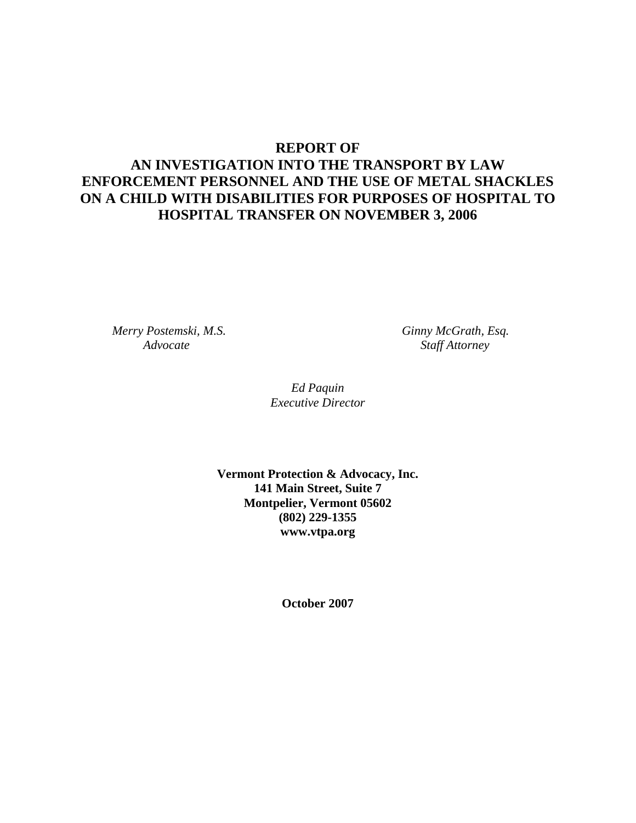# **REPORT OF AN INVESTIGATION INTO THE TRANSPORT BY LAW ENFORCEMENT PERSONNEL AND THE USE OF METAL SHACKLES ON A CHILD WITH DISABILITIES FOR PURPOSES OF HOSPITAL TO HOSPITAL TRANSFER ON NOVEMBER 3, 2006**

 *Merry Postemski, M.S. Ginny McGrath, Esq.* 

 *Advocate Staff Attorney* 

*Ed Paquin Executive Director* 

**Vermont Protection & Advocacy, Inc. 141 Main Street, Suite 7 Montpelier, Vermont 05602 (802) 229-1355 www.vtpa.org** 

**October 2007**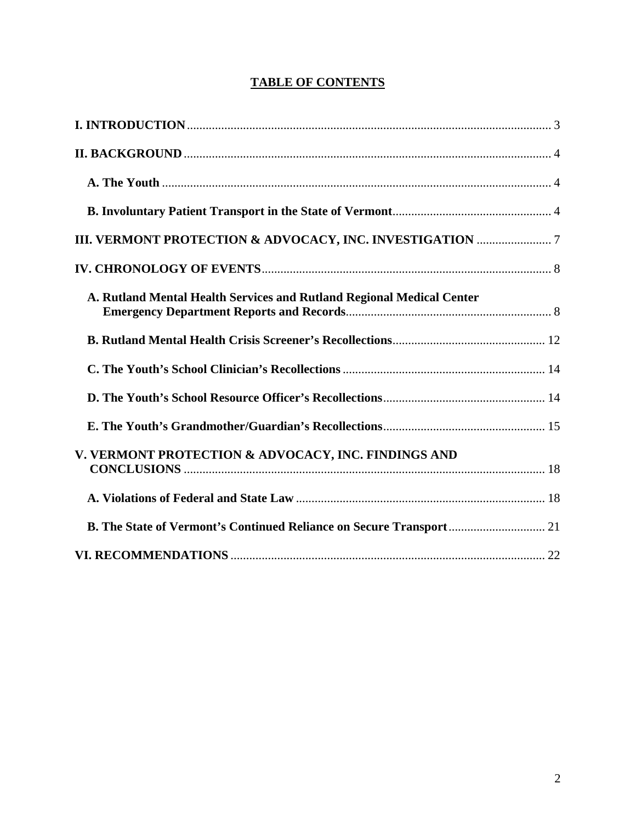# **TABLE OF CONTENTS**

| A. Rutland Mental Health Services and Rutland Regional Medical Center |
|-----------------------------------------------------------------------|
|                                                                       |
|                                                                       |
|                                                                       |
|                                                                       |
| V. VERMONT PROTECTION & ADVOCACY, INC. FINDINGS AND                   |
|                                                                       |
| B. The State of Vermont's Continued Reliance on Secure Transport 21   |
|                                                                       |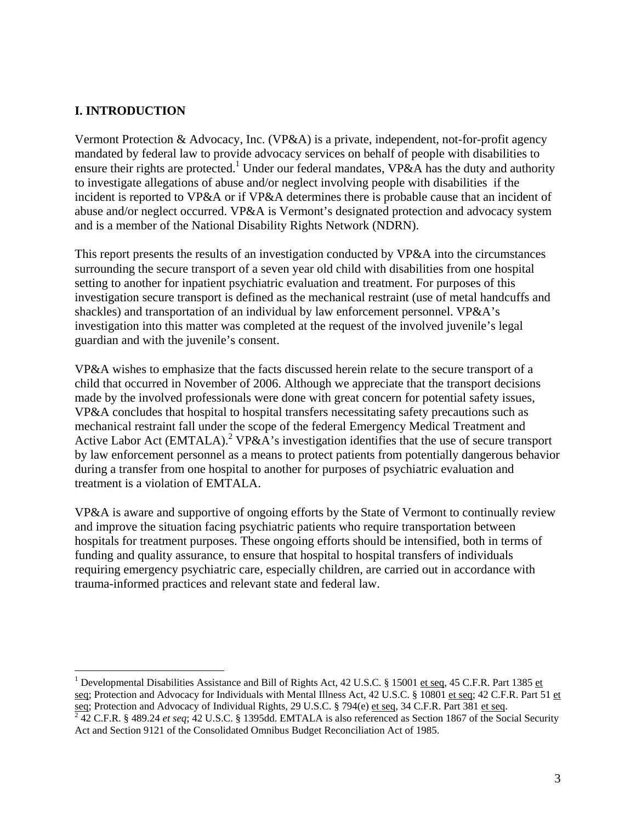#### **I. INTRODUCTION**

 $\overline{a}$ 

Vermont Protection & Advocacy, Inc. (VP&A) is a private, independent, not-for-profit agency mandated by federal law to provide advocacy services on behalf of people with disabilities to ensure their rights are protected.<sup>1</sup> Under our federal mandates,  $VP&A$  has the duty and authority to investigate allegations of abuse and/or neglect involving people with disabilities if the incident is reported to VP&A or if VP&A determines there is probable cause that an incident of abuse and/or neglect occurred. VP&A is Vermont's designated protection and advocacy system and is a member of the National Disability Rights Network (NDRN).

This report presents the results of an investigation conducted by VP&A into the circumstances surrounding the secure transport of a seven year old child with disabilities from one hospital setting to another for inpatient psychiatric evaluation and treatment. For purposes of this investigation secure transport is defined as the mechanical restraint (use of metal handcuffs and shackles) and transportation of an individual by law enforcement personnel. VP&A's investigation into this matter was completed at the request of the involved juvenile's legal guardian and with the juvenile's consent.

VP&A wishes to emphasize that the facts discussed herein relate to the secure transport of a child that occurred in November of 2006. Although we appreciate that the transport decisions made by the involved professionals were done with great concern for potential safety issues, VP&A concludes that hospital to hospital transfers necessitating safety precautions such as mechanical restraint fall under the scope of the federal Emergency Medical Treatment and Active Labor Act (EMTALA).<sup>2</sup> VP&A's investigation identifies that the use of secure transport by law enforcement personnel as a means to protect patients from potentially dangerous behavior during a transfer from one hospital to another for purposes of psychiatric evaluation and treatment is a violation of EMTALA.

VP&A is aware and supportive of ongoing efforts by the State of Vermont to continually review and improve the situation facing psychiatric patients who require transportation between hospitals for treatment purposes. These ongoing efforts should be intensified, both in terms of funding and quality assurance, to ensure that hospital to hospital transfers of individuals requiring emergency psychiatric care, especially children, are carried out in accordance with trauma-informed practices and relevant state and federal law.

<sup>&</sup>lt;sup>1</sup> Developmental Disabilities Assistance and Bill of Rights Act, 42 U.S.C. § 15001 et seq, 45 C.F.R. Part 1385 et seq; Protection and Advocacy for Individuals with Mental Illness Act, 42 U.S.C. § 10801 et seq; 42 C.F.R. Part 51 et seq; Protection and Advocacy of Individual Rights, 29 U.S.C. § 794(e) et seq, 34 C.F.R. Part 381 et seq.<br><sup>2</sup> 42 C.F.R. § 489.24 *et seq*; 42 U.S.C. § 1395dd. EMTALA is also referenced as Section 1867 of the Social Security

Act and Section 9121 of the Consolidated Omnibus Budget Reconciliation Act of 1985.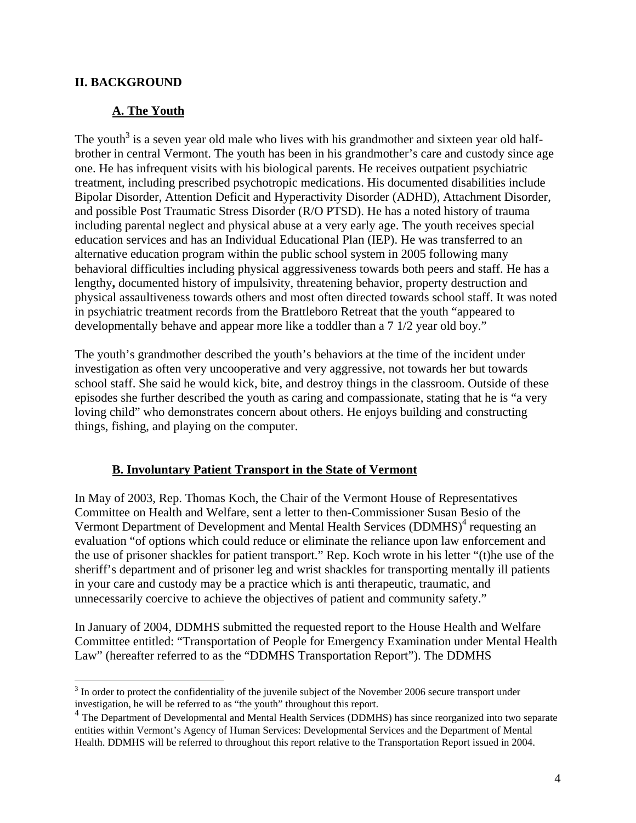#### **II. BACKGROUND**

#### **A. The Youth**

The youth<sup>3</sup> is a seven year old male who lives with his grandmother and sixteen year old halfbrother in central Vermont. The youth has been in his grandmother's care and custody since age one. He has infrequent visits with his biological parents. He receives outpatient psychiatric treatment, including prescribed psychotropic medications. His documented disabilities include Bipolar Disorder, Attention Deficit and Hyperactivity Disorder (ADHD), Attachment Disorder, and possible Post Traumatic Stress Disorder (R/O PTSD). He has a noted history of trauma including parental neglect and physical abuse at a very early age. The youth receives special education services and has an Individual Educational Plan (IEP). He was transferred to an alternative education program within the public school system in 2005 following many behavioral difficulties including physical aggressiveness towards both peers and staff. He has a lengthy**,** documented history of impulsivity, threatening behavior, property destruction and physical assaultiveness towards others and most often directed towards school staff. It was noted in psychiatric treatment records from the Brattleboro Retreat that the youth "appeared to developmentally behave and appear more like a toddler than a 7 1/2 year old boy."

The youth's grandmother described the youth's behaviors at the time of the incident under investigation as often very uncooperative and very aggressive, not towards her but towards school staff. She said he would kick, bite, and destroy things in the classroom. Outside of these episodes she further described the youth as caring and compassionate, stating that he is "a very loving child" who demonstrates concern about others. He enjoys building and constructing things, fishing, and playing on the computer.

#### **B. Involuntary Patient Transport in the State of Vermont**

In May of 2003, Rep. Thomas Koch, the Chair of the Vermont House of Representatives Committee on Health and Welfare, sent a letter to then-Commissioner Susan Besio of the Vermont Department of Development and Mental Health Services (DDMHS)<sup>4</sup> requesting an evaluation "of options which could reduce or eliminate the reliance upon law enforcement and the use of prisoner shackles for patient transport." Rep. Koch wrote in his letter "(t)he use of the sheriff's department and of prisoner leg and wrist shackles for transporting mentally ill patients in your care and custody may be a practice which is anti therapeutic, traumatic, and unnecessarily coercive to achieve the objectives of patient and community safety."

In January of 2004, DDMHS submitted the requested report to the House Health and Welfare Committee entitled: "Transportation of People for Emergency Examination under Mental Health Law" (hereafter referred to as the "DDMHS Transportation Report"). The DDMHS

<sup>1</sup>  $3$  In order to protect the confidentiality of the juvenile subject of the November 2006 secure transport under investigation, he will be referred to as "the youth" throughout this report.

<sup>&</sup>lt;sup>4</sup> The Department of Developmental and Mental Health Services (DDMHS) has since reorganized into two separate entities within Vermont's Agency of Human Services: Developmental Services and the Department of Mental Health. DDMHS will be referred to throughout this report relative to the Transportation Report issued in 2004.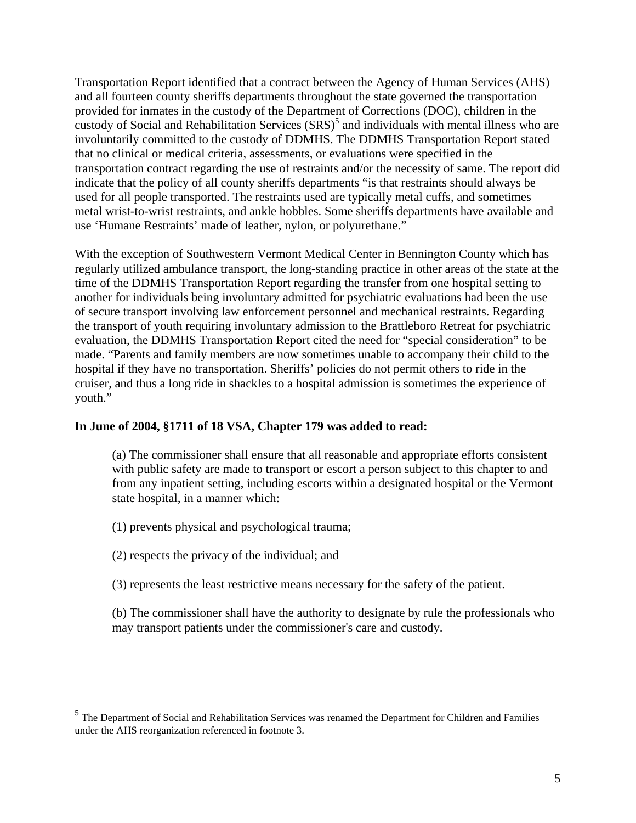Transportation Report identified that a contract between the Agency of Human Services (AHS) and all fourteen county sheriffs departments throughout the state governed the transportation provided for inmates in the custody of the Department of Corrections (DOC), children in the custody of Social and Rehabilitation Services  $(SRS)^5$  and individuals with mental illness who are involuntarily committed to the custody of DDMHS. The DDMHS Transportation Report stated that no clinical or medical criteria, assessments, or evaluations were specified in the transportation contract regarding the use of restraints and/or the necessity of same. The report did indicate that the policy of all county sheriffs departments "is that restraints should always be used for all people transported. The restraints used are typically metal cuffs, and sometimes metal wrist-to-wrist restraints, and ankle hobbles. Some sheriffs departments have available and use 'Humane Restraints' made of leather, nylon, or polyurethane."

With the exception of Southwestern Vermont Medical Center in Bennington County which has regularly utilized ambulance transport, the long-standing practice in other areas of the state at the time of the DDMHS Transportation Report regarding the transfer from one hospital setting to another for individuals being involuntary admitted for psychiatric evaluations had been the use of secure transport involving law enforcement personnel and mechanical restraints. Regarding the transport of youth requiring involuntary admission to the Brattleboro Retreat for psychiatric evaluation, the DDMHS Transportation Report cited the need for "special consideration" to be made. "Parents and family members are now sometimes unable to accompany their child to the hospital if they have no transportation. Sheriffs' policies do not permit others to ride in the cruiser, and thus a long ride in shackles to a hospital admission is sometimes the experience of youth."

#### **In June of 2004, §1711 of 18 VSA, Chapter 179 was added to read:**

 (a) The commissioner shall ensure that all reasonable and appropriate efforts consistent with public safety are made to transport or escort a person subject to this chapter to and from any inpatient setting, including escorts within a designated hospital or the Vermont state hospital, in a manner which:

(1) prevents physical and psychological trauma;

(2) respects the privacy of the individual; and

(3) represents the least restrictive means necessary for the safety of the patient.

 (b) The commissioner shall have the authority to designate by rule the professionals who may transport patients under the commissioner's care and custody.

<sup>&</sup>lt;sup>5</sup> The Department of Social and Rehabilitation Services was renamed the Department for Children and Families under the AHS reorganization referenced in footnote 3.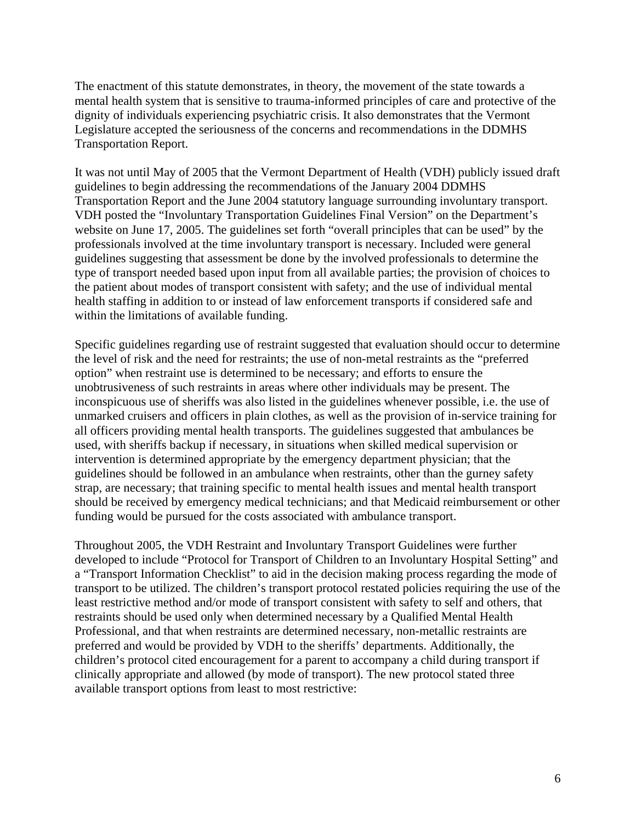The enactment of this statute demonstrates, in theory, the movement of the state towards a mental health system that is sensitive to trauma-informed principles of care and protective of the dignity of individuals experiencing psychiatric crisis. It also demonstrates that the Vermont Legislature accepted the seriousness of the concerns and recommendations in the DDMHS Transportation Report.

It was not until May of 2005 that the Vermont Department of Health (VDH) publicly issued draft guidelines to begin addressing the recommendations of the January 2004 DDMHS Transportation Report and the June 2004 statutory language surrounding involuntary transport. VDH posted the "Involuntary Transportation Guidelines Final Version" on the Department's website on June 17, 2005. The guidelines set forth "overall principles that can be used" by the professionals involved at the time involuntary transport is necessary. Included were general guidelines suggesting that assessment be done by the involved professionals to determine the type of transport needed based upon input from all available parties; the provision of choices to the patient about modes of transport consistent with safety; and the use of individual mental health staffing in addition to or instead of law enforcement transports if considered safe and within the limitations of available funding.

Specific guidelines regarding use of restraint suggested that evaluation should occur to determine the level of risk and the need for restraints; the use of non-metal restraints as the "preferred option" when restraint use is determined to be necessary; and efforts to ensure the unobtrusiveness of such restraints in areas where other individuals may be present. The inconspicuous use of sheriffs was also listed in the guidelines whenever possible, i.e. the use of unmarked cruisers and officers in plain clothes, as well as the provision of in-service training for all officers providing mental health transports. The guidelines suggested that ambulances be used, with sheriffs backup if necessary, in situations when skilled medical supervision or intervention is determined appropriate by the emergency department physician; that the guidelines should be followed in an ambulance when restraints, other than the gurney safety strap, are necessary; that training specific to mental health issues and mental health transport should be received by emergency medical technicians; and that Medicaid reimbursement or other funding would be pursued for the costs associated with ambulance transport.

Throughout 2005, the VDH Restraint and Involuntary Transport Guidelines were further developed to include "Protocol for Transport of Children to an Involuntary Hospital Setting" and a "Transport Information Checklist" to aid in the decision making process regarding the mode of transport to be utilized. The children's transport protocol restated policies requiring the use of the least restrictive method and/or mode of transport consistent with safety to self and others, that restraints should be used only when determined necessary by a Qualified Mental Health Professional, and that when restraints are determined necessary, non-metallic restraints are preferred and would be provided by VDH to the sheriffs' departments. Additionally, the children's protocol cited encouragement for a parent to accompany a child during transport if clinically appropriate and allowed (by mode of transport). The new protocol stated three available transport options from least to most restrictive: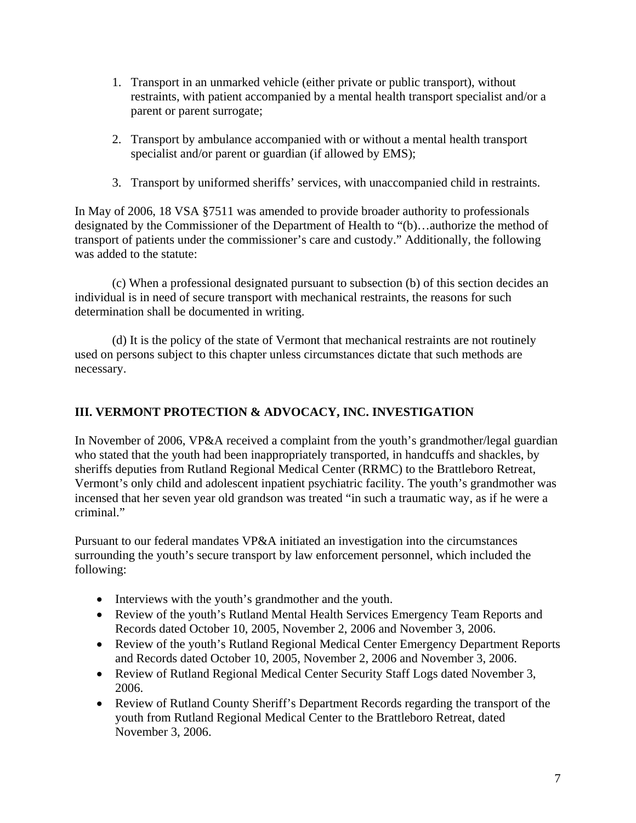- 1. Transport in an unmarked vehicle (either private or public transport), without restraints, with patient accompanied by a mental health transport specialist and/or a parent or parent surrogate;
- 2. Transport by ambulance accompanied with or without a mental health transport specialist and/or parent or guardian (if allowed by EMS);
- 3. Transport by uniformed sheriffs' services, with unaccompanied child in restraints.

In May of 2006, 18 VSA §7511 was amended to provide broader authority to professionals designated by the Commissioner of the Department of Health to "(b)…authorize the method of transport of patients under the commissioner's care and custody." Additionally, the following was added to the statute:

 (c) When a professional designated pursuant to subsection (b) of this section decides an individual is in need of secure transport with mechanical restraints, the reasons for such determination shall be documented in writing.

 (d) It is the policy of the state of Vermont that mechanical restraints are not routinely used on persons subject to this chapter unless circumstances dictate that such methods are necessary.

# **III. VERMONT PROTECTION & ADVOCACY, INC. INVESTIGATION**

In November of 2006, VP&A received a complaint from the youth's grandmother/legal guardian who stated that the youth had been inappropriately transported, in handcuffs and shackles, by sheriffs deputies from Rutland Regional Medical Center (RRMC) to the Brattleboro Retreat, Vermont's only child and adolescent inpatient psychiatric facility. The youth's grandmother was incensed that her seven year old grandson was treated "in such a traumatic way, as if he were a criminal."

Pursuant to our federal mandates VP&A initiated an investigation into the circumstances surrounding the youth's secure transport by law enforcement personnel, which included the following:

- Interviews with the youth's grandmother and the youth.
- Review of the youth's Rutland Mental Health Services Emergency Team Reports and Records dated October 10, 2005, November 2, 2006 and November 3, 2006.
- Review of the youth's Rutland Regional Medical Center Emergency Department Reports and Records dated October 10, 2005, November 2, 2006 and November 3, 2006.
- Review of Rutland Regional Medical Center Security Staff Logs dated November 3, 2006.
- Review of Rutland County Sheriff's Department Records regarding the transport of the youth from Rutland Regional Medical Center to the Brattleboro Retreat, dated November 3, 2006.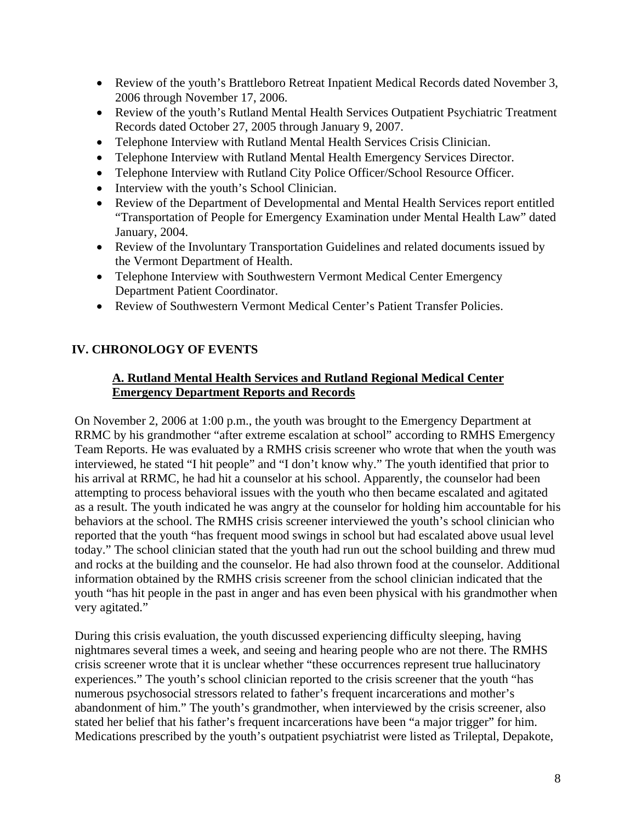- Review of the youth's Brattleboro Retreat Inpatient Medical Records dated November 3, 2006 through November 17, 2006.
- Review of the youth's Rutland Mental Health Services Outpatient Psychiatric Treatment Records dated October 27, 2005 through January 9, 2007.
- Telephone Interview with Rutland Mental Health Services Crisis Clinician.
- Telephone Interview with Rutland Mental Health Emergency Services Director.
- Telephone Interview with Rutland City Police Officer/School Resource Officer.
- Interview with the youth's School Clinician.
- Review of the Department of Developmental and Mental Health Services report entitled "Transportation of People for Emergency Examination under Mental Health Law" dated January, 2004.
- Review of the Involuntary Transportation Guidelines and related documents issued by the Vermont Department of Health.
- Telephone Interview with Southwestern Vermont Medical Center Emergency Department Patient Coordinator.
- Review of Southwestern Vermont Medical Center's Patient Transfer Policies.

### **IV. CHRONOLOGY OF EVENTS**

### **A. Rutland Mental Health Services and Rutland Regional Medical Center Emergency Department Reports and Records**

On November 2, 2006 at 1:00 p.m., the youth was brought to the Emergency Department at RRMC by his grandmother "after extreme escalation at school" according to RMHS Emergency Team Reports. He was evaluated by a RMHS crisis screener who wrote that when the youth was interviewed, he stated "I hit people" and "I don't know why." The youth identified that prior to his arrival at RRMC, he had hit a counselor at his school. Apparently, the counselor had been attempting to process behavioral issues with the youth who then became escalated and agitated as a result. The youth indicated he was angry at the counselor for holding him accountable for his behaviors at the school. The RMHS crisis screener interviewed the youth's school clinician who reported that the youth "has frequent mood swings in school but had escalated above usual level today." The school clinician stated that the youth had run out the school building and threw mud and rocks at the building and the counselor. He had also thrown food at the counselor. Additional information obtained by the RMHS crisis screener from the school clinician indicated that the youth "has hit people in the past in anger and has even been physical with his grandmother when very agitated."

During this crisis evaluation, the youth discussed experiencing difficulty sleeping, having nightmares several times a week, and seeing and hearing people who are not there. The RMHS crisis screener wrote that it is unclear whether "these occurrences represent true hallucinatory experiences." The youth's school clinician reported to the crisis screener that the youth "has numerous psychosocial stressors related to father's frequent incarcerations and mother's abandonment of him." The youth's grandmother, when interviewed by the crisis screener, also stated her belief that his father's frequent incarcerations have been "a major trigger" for him. Medications prescribed by the youth's outpatient psychiatrist were listed as Trileptal, Depakote,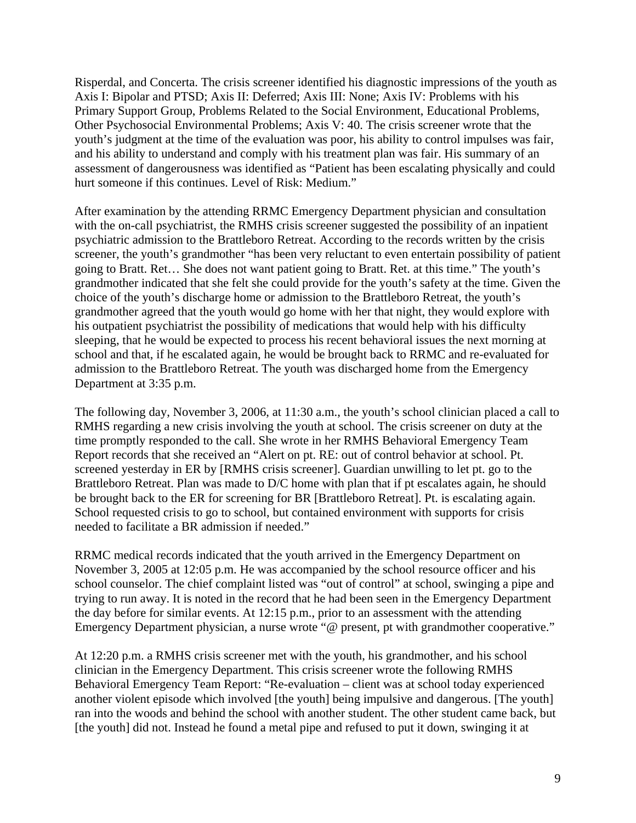Risperdal, and Concerta. The crisis screener identified his diagnostic impressions of the youth as Axis I: Bipolar and PTSD; Axis II: Deferred; Axis III: None; Axis IV: Problems with his Primary Support Group, Problems Related to the Social Environment, Educational Problems, Other Psychosocial Environmental Problems; Axis V: 40. The crisis screener wrote that the youth's judgment at the time of the evaluation was poor, his ability to control impulses was fair, and his ability to understand and comply with his treatment plan was fair. His summary of an assessment of dangerousness was identified as "Patient has been escalating physically and could hurt someone if this continues. Level of Risk: Medium."

After examination by the attending RRMC Emergency Department physician and consultation with the on-call psychiatrist, the RMHS crisis screener suggested the possibility of an inpatient psychiatric admission to the Brattleboro Retreat. According to the records written by the crisis screener, the youth's grandmother "has been very reluctant to even entertain possibility of patient going to Bratt. Ret… She does not want patient going to Bratt. Ret. at this time." The youth's grandmother indicated that she felt she could provide for the youth's safety at the time. Given the choice of the youth's discharge home or admission to the Brattleboro Retreat, the youth's grandmother agreed that the youth would go home with her that night, they would explore with his outpatient psychiatrist the possibility of medications that would help with his difficulty sleeping, that he would be expected to process his recent behavioral issues the next morning at school and that, if he escalated again, he would be brought back to RRMC and re-evaluated for admission to the Brattleboro Retreat. The youth was discharged home from the Emergency Department at 3:35 p.m.

The following day, November 3, 2006, at 11:30 a.m., the youth's school clinician placed a call to RMHS regarding a new crisis involving the youth at school. The crisis screener on duty at the time promptly responded to the call. She wrote in her RMHS Behavioral Emergency Team Report records that she received an "Alert on pt. RE: out of control behavior at school. Pt. screened yesterday in ER by [RMHS crisis screener]. Guardian unwilling to let pt. go to the Brattleboro Retreat. Plan was made to D/C home with plan that if pt escalates again, he should be brought back to the ER for screening for BR [Brattleboro Retreat]. Pt. is escalating again. School requested crisis to go to school, but contained environment with supports for crisis needed to facilitate a BR admission if needed."

RRMC medical records indicated that the youth arrived in the Emergency Department on November 3, 2005 at 12:05 p.m. He was accompanied by the school resource officer and his school counselor. The chief complaint listed was "out of control" at school, swinging a pipe and trying to run away. It is noted in the record that he had been seen in the Emergency Department the day before for similar events. At 12:15 p.m., prior to an assessment with the attending Emergency Department physician, a nurse wrote "@ present, pt with grandmother cooperative."

At 12:20 p.m. a RMHS crisis screener met with the youth, his grandmother, and his school clinician in the Emergency Department. This crisis screener wrote the following RMHS Behavioral Emergency Team Report: "Re-evaluation – client was at school today experienced another violent episode which involved [the youth] being impulsive and dangerous. [The youth] ran into the woods and behind the school with another student. The other student came back, but [the youth] did not. Instead he found a metal pipe and refused to put it down, swinging it at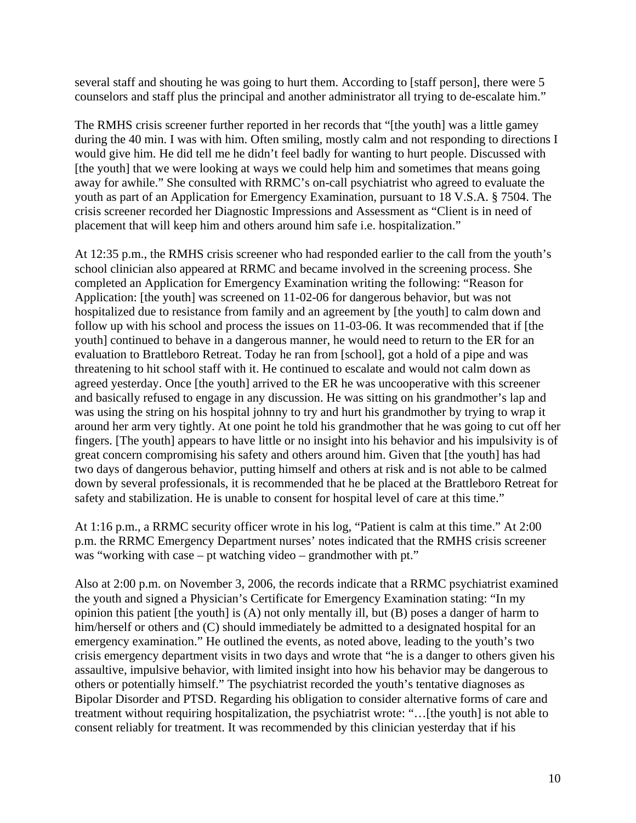several staff and shouting he was going to hurt them. According to [staff person], there were 5 counselors and staff plus the principal and another administrator all trying to de-escalate him."

The RMHS crisis screener further reported in her records that "[the youth] was a little gamey during the 40 min. I was with him. Often smiling, mostly calm and not responding to directions I would give him. He did tell me he didn't feel badly for wanting to hurt people. Discussed with [the youth] that we were looking at ways we could help him and sometimes that means going away for awhile." She consulted with RRMC's on-call psychiatrist who agreed to evaluate the youth as part of an Application for Emergency Examination, pursuant to 18 V.S.A. § 7504. The crisis screener recorded her Diagnostic Impressions and Assessment as "Client is in need of placement that will keep him and others around him safe i.e. hospitalization."

At 12:35 p.m., the RMHS crisis screener who had responded earlier to the call from the youth's school clinician also appeared at RRMC and became involved in the screening process. She completed an Application for Emergency Examination writing the following: "Reason for Application: [the youth] was screened on 11-02-06 for dangerous behavior, but was not hospitalized due to resistance from family and an agreement by [the youth] to calm down and follow up with his school and process the issues on 11-03-06. It was recommended that if [the youth] continued to behave in a dangerous manner, he would need to return to the ER for an evaluation to Brattleboro Retreat. Today he ran from [school], got a hold of a pipe and was threatening to hit school staff with it. He continued to escalate and would not calm down as agreed yesterday. Once [the youth] arrived to the ER he was uncooperative with this screener and basically refused to engage in any discussion. He was sitting on his grandmother's lap and was using the string on his hospital johnny to try and hurt his grandmother by trying to wrap it around her arm very tightly. At one point he told his grandmother that he was going to cut off her fingers. [The youth] appears to have little or no insight into his behavior and his impulsivity is of great concern compromising his safety and others around him. Given that [the youth] has had two days of dangerous behavior, putting himself and others at risk and is not able to be calmed down by several professionals, it is recommended that he be placed at the Brattleboro Retreat for safety and stabilization. He is unable to consent for hospital level of care at this time."

At 1:16 p.m., a RRMC security officer wrote in his log, "Patient is calm at this time." At 2:00 p.m. the RRMC Emergency Department nurses' notes indicated that the RMHS crisis screener was "working with case – pt watching video – grandmother with pt."

Also at 2:00 p.m. on November 3, 2006, the records indicate that a RRMC psychiatrist examined the youth and signed a Physician's Certificate for Emergency Examination stating: "In my opinion this patient [the youth] is (A) not only mentally ill, but (B) poses a danger of harm to him/herself or others and (C) should immediately be admitted to a designated hospital for an emergency examination." He outlined the events, as noted above, leading to the youth's two crisis emergency department visits in two days and wrote that "he is a danger to others given his assaultive, impulsive behavior, with limited insight into how his behavior may be dangerous to others or potentially himself." The psychiatrist recorded the youth's tentative diagnoses as Bipolar Disorder and PTSD. Regarding his obligation to consider alternative forms of care and treatment without requiring hospitalization, the psychiatrist wrote: "…[the youth] is not able to consent reliably for treatment. It was recommended by this clinician yesterday that if his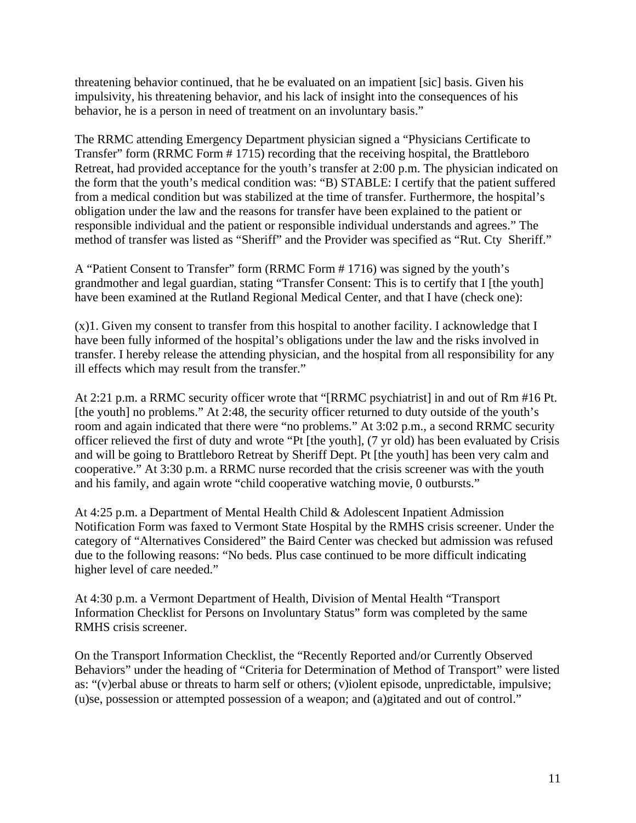threatening behavior continued, that he be evaluated on an impatient [sic] basis. Given his impulsivity, his threatening behavior, and his lack of insight into the consequences of his behavior, he is a person in need of treatment on an involuntary basis."

The RRMC attending Emergency Department physician signed a "Physicians Certificate to Transfer" form (RRMC Form # 1715) recording that the receiving hospital, the Brattleboro Retreat, had provided acceptance for the youth's transfer at 2:00 p.m. The physician indicated on the form that the youth's medical condition was: "B) STABLE: I certify that the patient suffered from a medical condition but was stabilized at the time of transfer. Furthermore, the hospital's obligation under the law and the reasons for transfer have been explained to the patient or responsible individual and the patient or responsible individual understands and agrees." The method of transfer was listed as "Sheriff" and the Provider was specified as "Rut. Cty Sheriff."

A "Patient Consent to Transfer" form (RRMC Form # 1716) was signed by the youth's grandmother and legal guardian, stating "Transfer Consent: This is to certify that I [the youth] have been examined at the Rutland Regional Medical Center, and that I have (check one):

(x)1. Given my consent to transfer from this hospital to another facility. I acknowledge that I have been fully informed of the hospital's obligations under the law and the risks involved in transfer. I hereby release the attending physician, and the hospital from all responsibility for any ill effects which may result from the transfer."

At 2:21 p.m. a RRMC security officer wrote that "[RRMC psychiatrist] in and out of Rm #16 Pt. [the youth] no problems." At 2:48, the security officer returned to duty outside of the youth's room and again indicated that there were "no problems." At 3:02 p.m., a second RRMC security officer relieved the first of duty and wrote "Pt [the youth], (7 yr old) has been evaluated by Crisis and will be going to Brattleboro Retreat by Sheriff Dept. Pt [the youth] has been very calm and cooperative." At 3:30 p.m. a RRMC nurse recorded that the crisis screener was with the youth and his family, and again wrote "child cooperative watching movie, 0 outbursts."

At 4:25 p.m. a Department of Mental Health Child & Adolescent Inpatient Admission Notification Form was faxed to Vermont State Hospital by the RMHS crisis screener. Under the category of "Alternatives Considered" the Baird Center was checked but admission was refused due to the following reasons: "No beds. Plus case continued to be more difficult indicating higher level of care needed."

At 4:30 p.m. a Vermont Department of Health, Division of Mental Health "Transport Information Checklist for Persons on Involuntary Status" form was completed by the same RMHS crisis screener.

On the Transport Information Checklist, the "Recently Reported and/or Currently Observed Behaviors" under the heading of "Criteria for Determination of Method of Transport" were listed as: "(v)erbal abuse or threats to harm self or others; (v)iolent episode, unpredictable, impulsive; (u)se, possession or attempted possession of a weapon; and (a)gitated and out of control."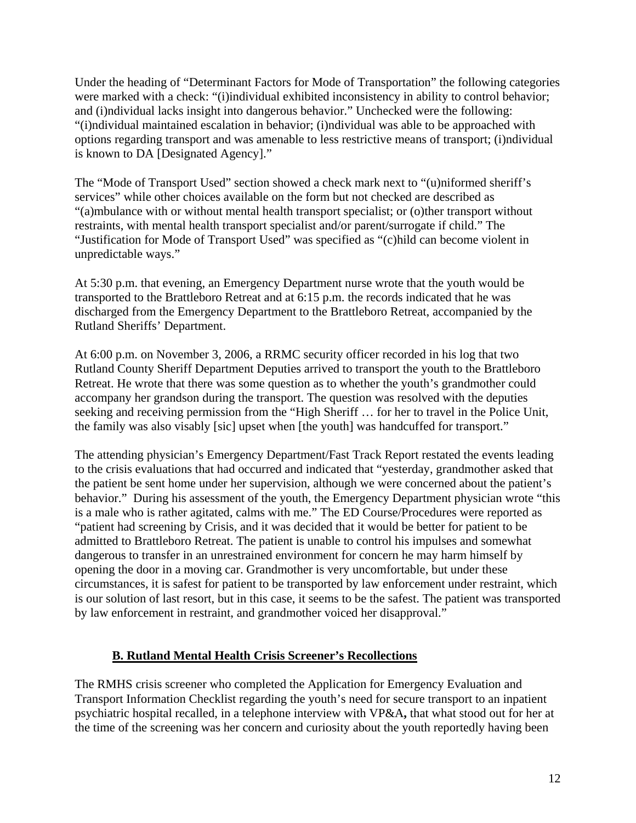Under the heading of "Determinant Factors for Mode of Transportation" the following categories were marked with a check: "(i)individual exhibited inconsistency in ability to control behavior; and (i)ndividual lacks insight into dangerous behavior." Unchecked were the following: "(i)ndividual maintained escalation in behavior; (i)ndividual was able to be approached with options regarding transport and was amenable to less restrictive means of transport; (i)ndividual is known to DA [Designated Agency]."

The "Mode of Transport Used" section showed a check mark next to "(u)niformed sheriff's services" while other choices available on the form but not checked are described as "(a)mbulance with or without mental health transport specialist; or (o)ther transport without restraints, with mental health transport specialist and/or parent/surrogate if child." The "Justification for Mode of Transport Used" was specified as "(c)hild can become violent in unpredictable ways."

At 5:30 p.m. that evening, an Emergency Department nurse wrote that the youth would be transported to the Brattleboro Retreat and at 6:15 p.m. the records indicated that he was discharged from the Emergency Department to the Brattleboro Retreat, accompanied by the Rutland Sheriffs' Department.

At 6:00 p.m. on November 3, 2006, a RRMC security officer recorded in his log that two Rutland County Sheriff Department Deputies arrived to transport the youth to the Brattleboro Retreat. He wrote that there was some question as to whether the youth's grandmother could accompany her grandson during the transport. The question was resolved with the deputies seeking and receiving permission from the "High Sheriff … for her to travel in the Police Unit, the family was also visably [sic] upset when [the youth] was handcuffed for transport."

The attending physician's Emergency Department/Fast Track Report restated the events leading to the crisis evaluations that had occurred and indicated that "yesterday, grandmother asked that the patient be sent home under her supervision, although we were concerned about the patient's behavior." During his assessment of the youth, the Emergency Department physician wrote "this is a male who is rather agitated, calms with me." The ED Course/Procedures were reported as "patient had screening by Crisis, and it was decided that it would be better for patient to be admitted to Brattleboro Retreat. The patient is unable to control his impulses and somewhat dangerous to transfer in an unrestrained environment for concern he may harm himself by opening the door in a moving car. Grandmother is very uncomfortable, but under these circumstances, it is safest for patient to be transported by law enforcement under restraint, which is our solution of last resort, but in this case, it seems to be the safest. The patient was transported by law enforcement in restraint, and grandmother voiced her disapproval."

#### **B. Rutland Mental Health Crisis Screener's Recollections**

The RMHS crisis screener who completed the Application for Emergency Evaluation and Transport Information Checklist regarding the youth's need for secure transport to an inpatient psychiatric hospital recalled, in a telephone interview with VP&A**,** that what stood out for her at the time of the screening was her concern and curiosity about the youth reportedly having been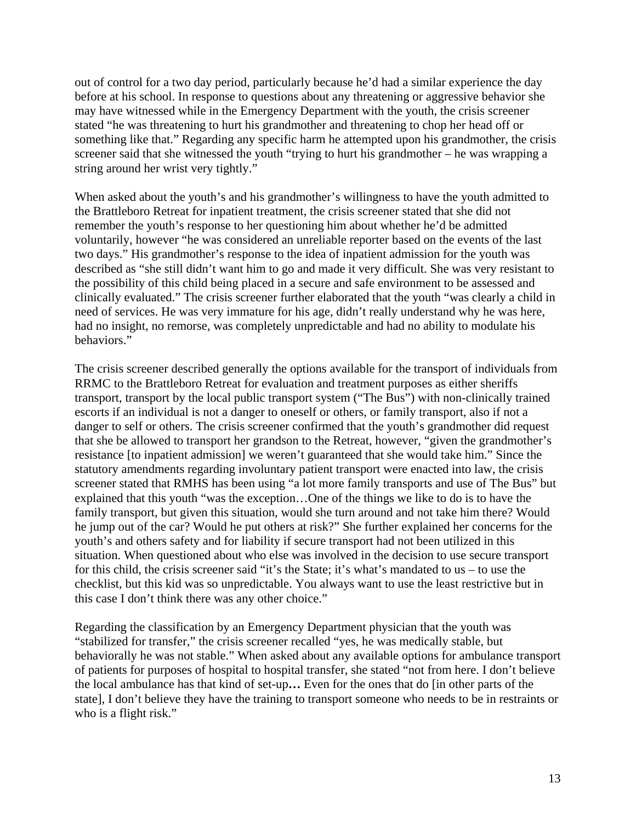out of control for a two day period, particularly because he'd had a similar experience the day before at his school. In response to questions about any threatening or aggressive behavior she may have witnessed while in the Emergency Department with the youth, the crisis screener stated "he was threatening to hurt his grandmother and threatening to chop her head off or something like that." Regarding any specific harm he attempted upon his grandmother, the crisis screener said that she witnessed the youth "trying to hurt his grandmother – he was wrapping a string around her wrist very tightly."

When asked about the youth's and his grandmother's willingness to have the youth admitted to the Brattleboro Retreat for inpatient treatment, the crisis screener stated that she did not remember the youth's response to her questioning him about whether he'd be admitted voluntarily, however "he was considered an unreliable reporter based on the events of the last two days." His grandmother's response to the idea of inpatient admission for the youth was described as "she still didn't want him to go and made it very difficult. She was very resistant to the possibility of this child being placed in a secure and safe environment to be assessed and clinically evaluated." The crisis screener further elaborated that the youth "was clearly a child in need of services. He was very immature for his age, didn't really understand why he was here, had no insight, no remorse, was completely unpredictable and had no ability to modulate his behaviors."

The crisis screener described generally the options available for the transport of individuals from RRMC to the Brattleboro Retreat for evaluation and treatment purposes as either sheriffs transport, transport by the local public transport system ("The Bus") with non-clinically trained escorts if an individual is not a danger to oneself or others, or family transport, also if not a danger to self or others. The crisis screener confirmed that the youth's grandmother did request that she be allowed to transport her grandson to the Retreat, however, "given the grandmother's resistance [to inpatient admission] we weren't guaranteed that she would take him." Since the statutory amendments regarding involuntary patient transport were enacted into law, the crisis screener stated that RMHS has been using "a lot more family transports and use of The Bus" but explained that this youth "was the exception…One of the things we like to do is to have the family transport, but given this situation, would she turn around and not take him there? Would he jump out of the car? Would he put others at risk?" She further explained her concerns for the youth's and others safety and for liability if secure transport had not been utilized in this situation. When questioned about who else was involved in the decision to use secure transport for this child, the crisis screener said "it's the State; it's what's mandated to us – to use the checklist, but this kid was so unpredictable. You always want to use the least restrictive but in this case I don't think there was any other choice."

Regarding the classification by an Emergency Department physician that the youth was "stabilized for transfer," the crisis screener recalled "yes, he was medically stable, but behaviorally he was not stable." When asked about any available options for ambulance transport of patients for purposes of hospital to hospital transfer, she stated "not from here. I don't believe the local ambulance has that kind of set-up**…** Even for the ones that do [in other parts of the state], I don't believe they have the training to transport someone who needs to be in restraints or who is a flight risk."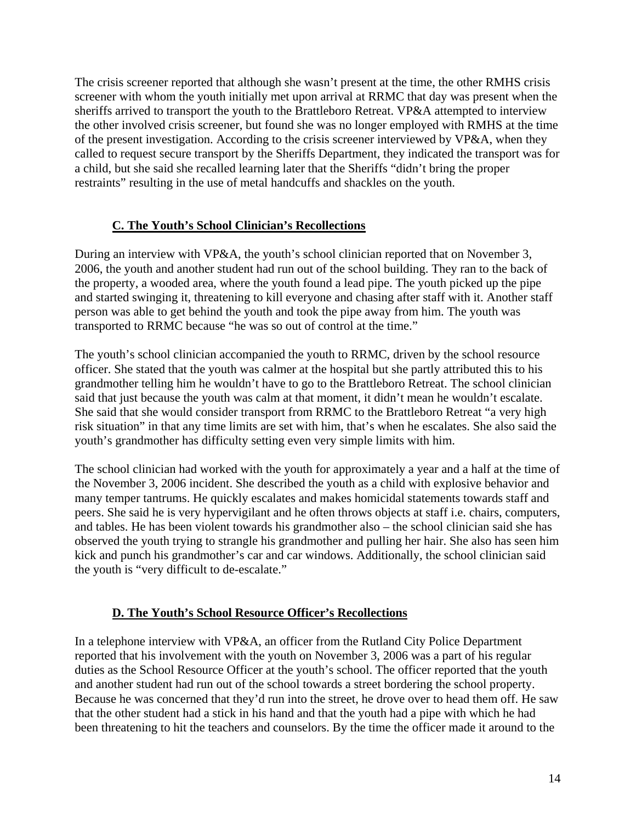The crisis screener reported that although she wasn't present at the time, the other RMHS crisis screener with whom the youth initially met upon arrival at RRMC that day was present when the sheriffs arrived to transport the youth to the Brattleboro Retreat. VP&A attempted to interview the other involved crisis screener, but found she was no longer employed with RMHS at the time of the present investigation. According to the crisis screener interviewed by VP&A, when they called to request secure transport by the Sheriffs Department, they indicated the transport was for a child, but she said she recalled learning later that the Sheriffs "didn't bring the proper restraints" resulting in the use of metal handcuffs and shackles on the youth.

### **C. The Youth's School Clinician's Recollections**

During an interview with VP&A, the youth's school clinician reported that on November 3, 2006, the youth and another student had run out of the school building. They ran to the back of the property, a wooded area, where the youth found a lead pipe. The youth picked up the pipe and started swinging it, threatening to kill everyone and chasing after staff with it. Another staff person was able to get behind the youth and took the pipe away from him. The youth was transported to RRMC because "he was so out of control at the time."

The youth's school clinician accompanied the youth to RRMC, driven by the school resource officer. She stated that the youth was calmer at the hospital but she partly attributed this to his grandmother telling him he wouldn't have to go to the Brattleboro Retreat. The school clinician said that just because the youth was calm at that moment, it didn't mean he wouldn't escalate. She said that she would consider transport from RRMC to the Brattleboro Retreat "a very high risk situation" in that any time limits are set with him, that's when he escalates. She also said the youth's grandmother has difficulty setting even very simple limits with him.

The school clinician had worked with the youth for approximately a year and a half at the time of the November 3, 2006 incident. She described the youth as a child with explosive behavior and many temper tantrums. He quickly escalates and makes homicidal statements towards staff and peers. She said he is very hypervigilant and he often throws objects at staff i.e. chairs, computers, and tables. He has been violent towards his grandmother also – the school clinician said she has observed the youth trying to strangle his grandmother and pulling her hair. She also has seen him kick and punch his grandmother's car and car windows. Additionally, the school clinician said the youth is "very difficult to de-escalate."

#### **D. The Youth's School Resource Officer's Recollections**

In a telephone interview with VP&A, an officer from the Rutland City Police Department reported that his involvement with the youth on November 3, 2006 was a part of his regular duties as the School Resource Officer at the youth's school. The officer reported that the youth and another student had run out of the school towards a street bordering the school property. Because he was concerned that they'd run into the street, he drove over to head them off. He saw that the other student had a stick in his hand and that the youth had a pipe with which he had been threatening to hit the teachers and counselors. By the time the officer made it around to the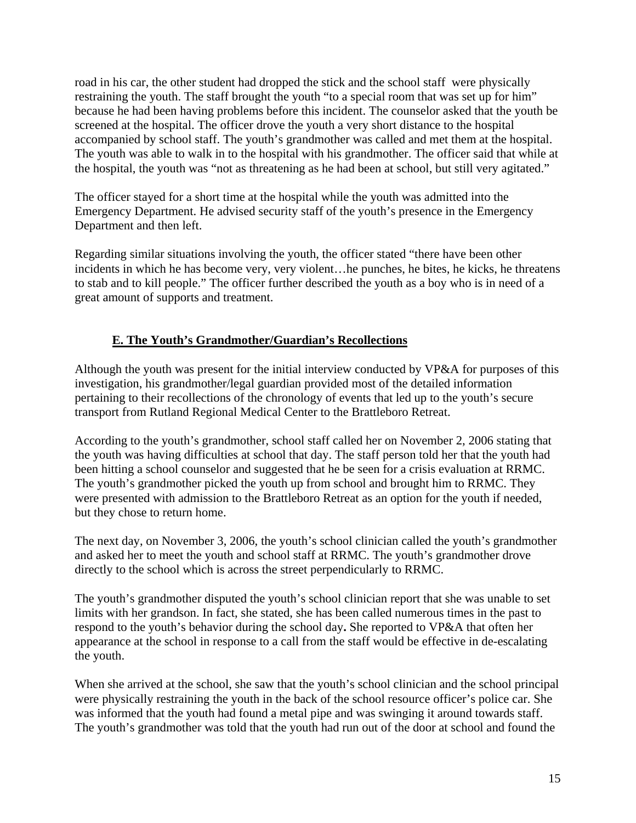road in his car, the other student had dropped the stick and the school staff were physically restraining the youth. The staff brought the youth "to a special room that was set up for him" because he had been having problems before this incident. The counselor asked that the youth be screened at the hospital. The officer drove the youth a very short distance to the hospital accompanied by school staff. The youth's grandmother was called and met them at the hospital. The youth was able to walk in to the hospital with his grandmother. The officer said that while at the hospital, the youth was "not as threatening as he had been at school, but still very agitated."

The officer stayed for a short time at the hospital while the youth was admitted into the Emergency Department. He advised security staff of the youth's presence in the Emergency Department and then left.

Regarding similar situations involving the youth, the officer stated "there have been other incidents in which he has become very, very violent…he punches, he bites, he kicks, he threatens to stab and to kill people." The officer further described the youth as a boy who is in need of a great amount of supports and treatment.

### **E. The Youth's Grandmother/Guardian's Recollections**

Although the youth was present for the initial interview conducted by VP&A for purposes of this investigation, his grandmother/legal guardian provided most of the detailed information pertaining to their recollections of the chronology of events that led up to the youth's secure transport from Rutland Regional Medical Center to the Brattleboro Retreat.

According to the youth's grandmother, school staff called her on November 2, 2006 stating that the youth was having difficulties at school that day. The staff person told her that the youth had been hitting a school counselor and suggested that he be seen for a crisis evaluation at RRMC. The youth's grandmother picked the youth up from school and brought him to RRMC. They were presented with admission to the Brattleboro Retreat as an option for the youth if needed, but they chose to return home.

The next day, on November 3, 2006, the youth's school clinician called the youth's grandmother and asked her to meet the youth and school staff at RRMC. The youth's grandmother drove directly to the school which is across the street perpendicularly to RRMC.

The youth's grandmother disputed the youth's school clinician report that she was unable to set limits with her grandson. In fact, she stated, she has been called numerous times in the past to respond to the youth's behavior during the school day**.** She reported to VP&A that often her appearance at the school in response to a call from the staff would be effective in de-escalating the youth.

When she arrived at the school, she saw that the youth's school clinician and the school principal were physically restraining the youth in the back of the school resource officer's police car. She was informed that the youth had found a metal pipe and was swinging it around towards staff. The youth's grandmother was told that the youth had run out of the door at school and found the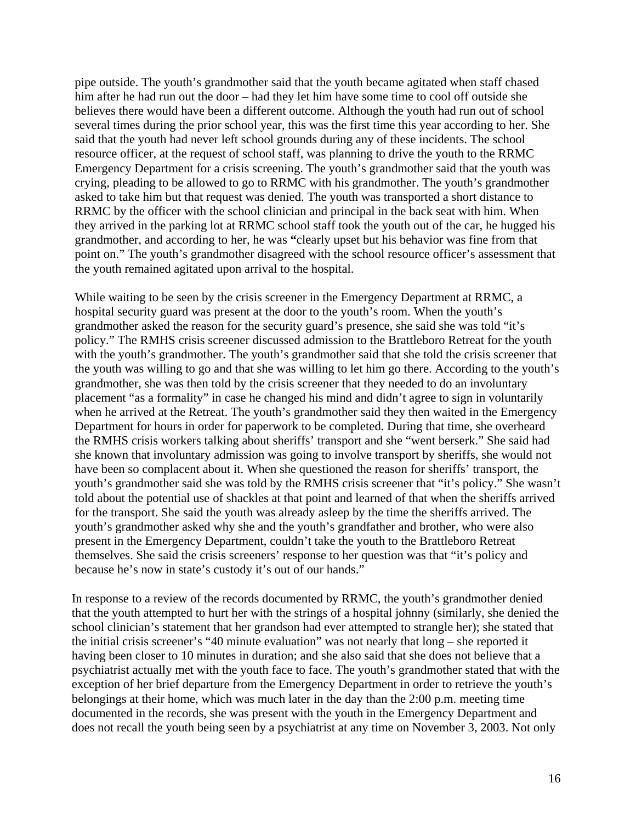pipe outside. The youth's grandmother said that the youth became agitated when staff chased him after he had run out the door – had they let him have some time to cool off outside she believes there would have been a different outcome. Although the youth had run out of school several times during the prior school year, this was the first time this year according to her. She said that the youth had never left school grounds during any of these incidents. The school resource officer, at the request of school staff, was planning to drive the youth to the RRMC Emergency Department for a crisis screening. The youth's grandmother said that the youth was crying, pleading to be allowed to go to RRMC with his grandmother. The youth's grandmother asked to take him but that request was denied. The youth was transported a short distance to RRMC by the officer with the school clinician and principal in the back seat with him. When they arrived in the parking lot at RRMC school staff took the youth out of the car, he hugged his grandmother, and according to her, he was **"**clearly upset but his behavior was fine from that point on." The youth's grandmother disagreed with the school resource officer's assessment that the youth remained agitated upon arrival to the hospital.

While waiting to be seen by the crisis screener in the Emergency Department at RRMC, a hospital security guard was present at the door to the youth's room. When the youth's grandmother asked the reason for the security guard's presence, she said she was told "it's policy." The RMHS crisis screener discussed admission to the Brattleboro Retreat for the youth with the youth's grandmother. The youth's grandmother said that she told the crisis screener that the youth was willing to go and that she was willing to let him go there. According to the youth's grandmother, she was then told by the crisis screener that they needed to do an involuntary placement "as a formality" in case he changed his mind and didn't agree to sign in voluntarily when he arrived at the Retreat. The youth's grandmother said they then waited in the Emergency Department for hours in order for paperwork to be completed. During that time, she overheard the RMHS crisis workers talking about sheriffs' transport and she "went berserk." She said had she known that involuntary admission was going to involve transport by sheriffs, she would not have been so complacent about it. When she questioned the reason for sheriffs' transport, the youth's grandmother said she was told by the RMHS crisis screener that "it's policy." She wasn't told about the potential use of shackles at that point and learned of that when the sheriffs arrived for the transport. She said the youth was already asleep by the time the sheriffs arrived. The youth's grandmother asked why she and the youth's grandfather and brother, who were also present in the Emergency Department, couldn't take the youth to the Brattleboro Retreat themselves. She said the crisis screeners' response to her question was that "it's policy and because he's now in state's custody it's out of our hands."

In response to a review of the records documented by RRMC, the youth's grandmother denied that the youth attempted to hurt her with the strings of a hospital johnny (similarly, she denied the school clinician's statement that her grandson had ever attempted to strangle her); she stated that the initial crisis screener's "40 minute evaluation" was not nearly that long – she reported it having been closer to 10 minutes in duration; and she also said that she does not believe that a psychiatrist actually met with the youth face to face. The youth's grandmother stated that with the exception of her brief departure from the Emergency Department in order to retrieve the youth's belongings at their home, which was much later in the day than the 2:00 p.m. meeting time documented in the records, she was present with the youth in the Emergency Department and does not recall the youth being seen by a psychiatrist at any time on November 3, 2003. Not only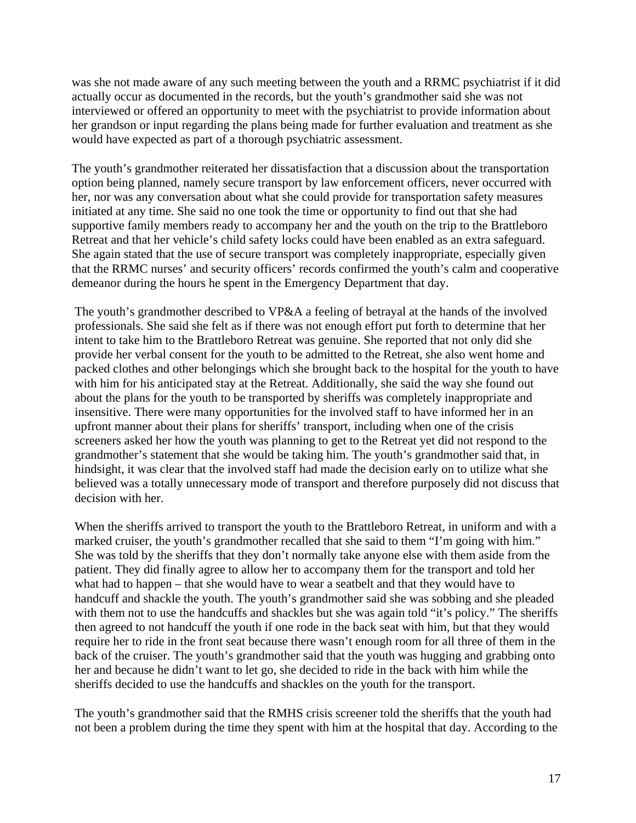was she not made aware of any such meeting between the youth and a RRMC psychiatrist if it did actually occur as documented in the records, but the youth's grandmother said she was not interviewed or offered an opportunity to meet with the psychiatrist to provide information about her grandson or input regarding the plans being made for further evaluation and treatment as she would have expected as part of a thorough psychiatric assessment.

The youth's grandmother reiterated her dissatisfaction that a discussion about the transportation option being planned, namely secure transport by law enforcement officers, never occurred with her, nor was any conversation about what she could provide for transportation safety measures initiated at any time. She said no one took the time or opportunity to find out that she had supportive family members ready to accompany her and the youth on the trip to the Brattleboro Retreat and that her vehicle's child safety locks could have been enabled as an extra safeguard. She again stated that the use of secure transport was completely inappropriate, especially given that the RRMC nurses' and security officers' records confirmed the youth's calm and cooperative demeanor during the hours he spent in the Emergency Department that day.

The youth's grandmother described to VP&A a feeling of betrayal at the hands of the involved professionals. She said she felt as if there was not enough effort put forth to determine that her intent to take him to the Brattleboro Retreat was genuine. She reported that not only did she provide her verbal consent for the youth to be admitted to the Retreat, she also went home and packed clothes and other belongings which she brought back to the hospital for the youth to have with him for his anticipated stay at the Retreat. Additionally, she said the way she found out about the plans for the youth to be transported by sheriffs was completely inappropriate and insensitive. There were many opportunities for the involved staff to have informed her in an upfront manner about their plans for sheriffs' transport, including when one of the crisis screeners asked her how the youth was planning to get to the Retreat yet did not respond to the grandmother's statement that she would be taking him. The youth's grandmother said that, in hindsight, it was clear that the involved staff had made the decision early on to utilize what she believed was a totally unnecessary mode of transport and therefore purposely did not discuss that decision with her.

When the sheriffs arrived to transport the youth to the Brattleboro Retreat, in uniform and with a marked cruiser, the youth's grandmother recalled that she said to them "I'm going with him." She was told by the sheriffs that they don't normally take anyone else with them aside from the patient. They did finally agree to allow her to accompany them for the transport and told her what had to happen – that she would have to wear a seatbelt and that they would have to handcuff and shackle the youth. The youth's grandmother said she was sobbing and she pleaded with them not to use the handcuffs and shackles but she was again told "it's policy." The sheriffs then agreed to not handcuff the youth if one rode in the back seat with him, but that they would require her to ride in the front seat because there wasn't enough room for all three of them in the back of the cruiser. The youth's grandmother said that the youth was hugging and grabbing onto her and because he didn't want to let go, she decided to ride in the back with him while the sheriffs decided to use the handcuffs and shackles on the youth for the transport.

The youth's grandmother said that the RMHS crisis screener told the sheriffs that the youth had not been a problem during the time they spent with him at the hospital that day. According to the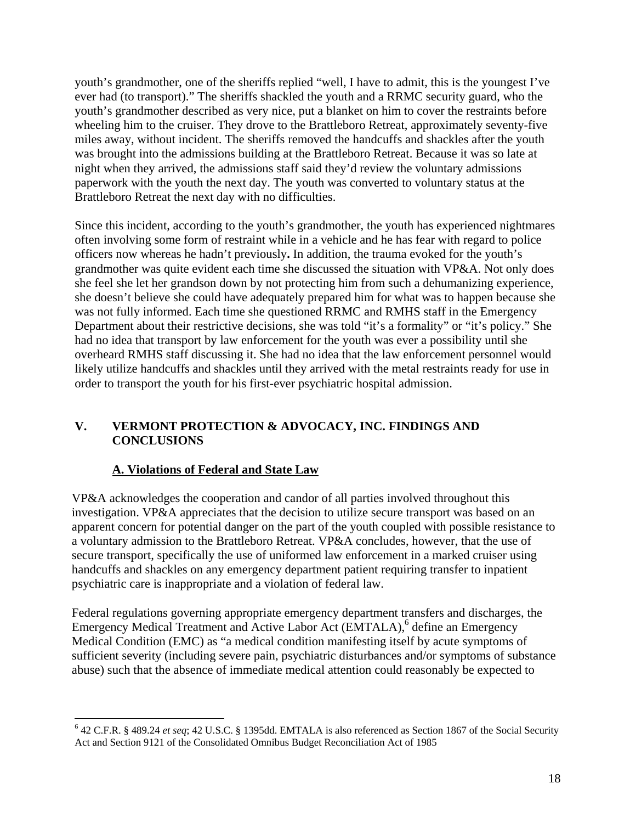youth's grandmother, one of the sheriffs replied "well, I have to admit, this is the youngest I've ever had (to transport)." The sheriffs shackled the youth and a RRMC security guard, who the youth's grandmother described as very nice, put a blanket on him to cover the restraints before wheeling him to the cruiser. They drove to the Brattleboro Retreat, approximately seventy-five miles away, without incident. The sheriffs removed the handcuffs and shackles after the youth was brought into the admissions building at the Brattleboro Retreat. Because it was so late at night when they arrived, the admissions staff said they'd review the voluntary admissions paperwork with the youth the next day. The youth was converted to voluntary status at the Brattleboro Retreat the next day with no difficulties.

Since this incident, according to the youth's grandmother, the youth has experienced nightmares often involving some form of restraint while in a vehicle and he has fear with regard to police officers now whereas he hadn't previously**.** In addition, the trauma evoked for the youth's grandmother was quite evident each time she discussed the situation with VP&A. Not only does she feel she let her grandson down by not protecting him from such a dehumanizing experience, she doesn't believe she could have adequately prepared him for what was to happen because she was not fully informed. Each time she questioned RRMC and RMHS staff in the Emergency Department about their restrictive decisions, she was told "it's a formality" or "it's policy." She had no idea that transport by law enforcement for the youth was ever a possibility until she overheard RMHS staff discussing it. She had no idea that the law enforcement personnel would likely utilize handcuffs and shackles until they arrived with the metal restraints ready for use in order to transport the youth for his first-ever psychiatric hospital admission.

# **V. VERMONT PROTECTION & ADVOCACY, INC. FINDINGS AND CONCLUSIONS**

# **A. Violations of Federal and State Law**

 $\overline{a}$ 

VP&A acknowledges the cooperation and candor of all parties involved throughout this investigation. VP&A appreciates that the decision to utilize secure transport was based on an apparent concern for potential danger on the part of the youth coupled with possible resistance to a voluntary admission to the Brattleboro Retreat. VP&A concludes, however, that the use of secure transport, specifically the use of uniformed law enforcement in a marked cruiser using handcuffs and shackles on any emergency department patient requiring transfer to inpatient psychiatric care is inappropriate and a violation of federal law.

Federal regulations governing appropriate emergency department transfers and discharges, the Emergency Medical Treatment and Active Labor Act (EMTALA),<sup>6</sup> define an Emergency Medical Condition (EMC) as "a medical condition manifesting itself by acute symptoms of sufficient severity (including severe pain, psychiatric disturbances and/or symptoms of substance abuse) such that the absence of immediate medical attention could reasonably be expected to

<sup>6</sup> 42 C.F.R. § 489.24 *et seq*; 42 U.S.C. § 1395dd. EMTALA is also referenced as Section 1867 of the Social Security Act and Section 9121 of the Consolidated Omnibus Budget Reconciliation Act of 1985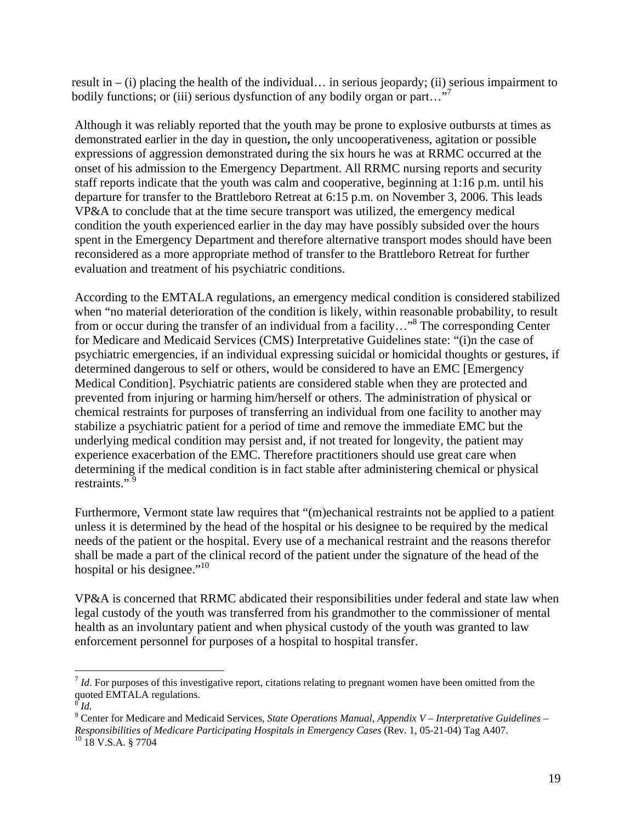result in  $-$  (i) placing the health of the individual... in serious jeopardy; (ii) serious impairment to bodily functions; or (iii) serious dysfunction of any bodily organ or part..."

Although it was reliably reported that the youth may be prone to explosive outbursts at times as demonstrated earlier in the day in question**,** the only uncooperativeness, agitation or possible expressions of aggression demonstrated during the six hours he was at RRMC occurred at the onset of his admission to the Emergency Department. All RRMC nursing reports and security staff reports indicate that the youth was calm and cooperative, beginning at 1:16 p.m. until his departure for transfer to the Brattleboro Retreat at 6:15 p.m. on November 3, 2006. This leads VP&A to conclude that at the time secure transport was utilized, the emergency medical condition the youth experienced earlier in the day may have possibly subsided over the hours spent in the Emergency Department and therefore alternative transport modes should have been reconsidered as a more appropriate method of transfer to the Brattleboro Retreat for further evaluation and treatment of his psychiatric conditions.

According to the EMTALA regulations, an emergency medical condition is considered stabilized when "no material deterioration of the condition is likely, within reasonable probability, to result from or occur during the transfer of an individual from a facility..."<sup>8</sup> The corresponding Center for Medicare and Medicaid Services (CMS) Interpretative Guidelines state: "(i)n the case of psychiatric emergencies, if an individual expressing suicidal or homicidal thoughts or gestures, if determined dangerous to self or others, would be considered to have an EMC [Emergency Medical Condition]. Psychiatric patients are considered stable when they are protected and prevented from injuring or harming him/herself or others. The administration of physical or chemical restraints for purposes of transferring an individual from one facility to another may stabilize a psychiatric patient for a period of time and remove the immediate EMC but the underlying medical condition may persist and, if not treated for longevity, the patient may experience exacerbation of the EMC. Therefore practitioners should use great care when determining if the medical condition is in fact stable after administering chemical or physical restraints."<sup>9</sup>

Furthermore, Vermont state law requires that "(m)echanical restraints not be applied to a patient unless it is determined by the head of the hospital or his designee to be required by the medical needs of the patient or the hospital. Every use of a mechanical restraint and the reasons therefor shall be made a part of the clinical record of the patient under the signature of the head of the hospital or his designee."<sup>10</sup>

VP&A is concerned that RRMC abdicated their responsibilities under federal and state law when legal custody of the youth was transferred from his grandmother to the commissioner of mental health as an involuntary patient and when physical custody of the youth was granted to law enforcement personnel for purposes of a hospital to hospital transfer.

 $\overline{a}$ 

<sup>&</sup>lt;sup>7</sup> *Id*. For purposes of this investigative report, citations relating to pregnant women have been omitted from the quoted EMTALA regulations.

 $\int^8 I d$ .

<sup>&</sup>lt;sup>9</sup> Center for Medicare and Medicaid Services, *State Operations Manual, Appendix V – Interpretative Guidelines – Responsibilities of Medicare Participating Hospitals in Emergency Cases* (Rev. 1, 05-21-04) Tag A407. <sup>10</sup> 18 V.S.A. § 7704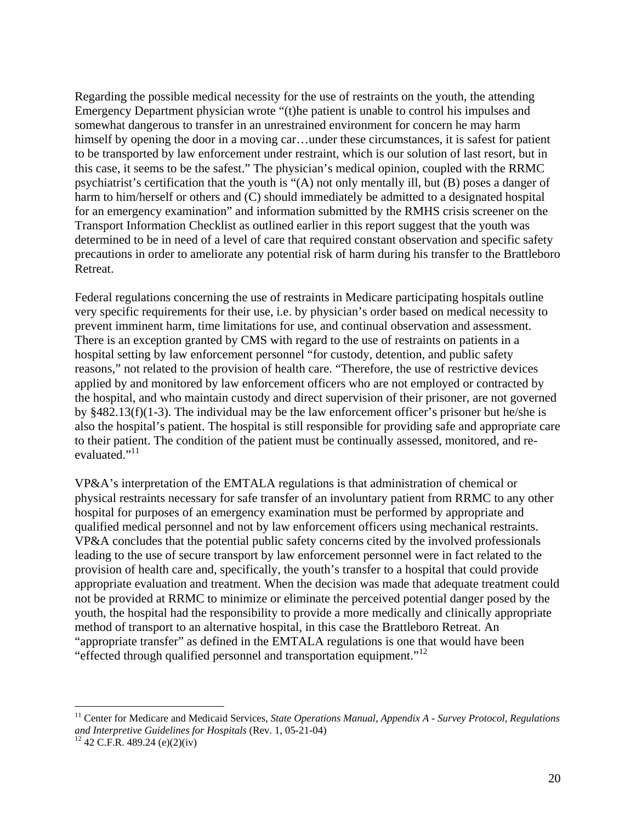Regarding the possible medical necessity for the use of restraints on the youth, the attending Emergency Department physician wrote "(t)he patient is unable to control his impulses and somewhat dangerous to transfer in an unrestrained environment for concern he may harm himself by opening the door in a moving car...under these circumstances, it is safest for patient to be transported by law enforcement under restraint, which is our solution of last resort, but in this case, it seems to be the safest." The physician's medical opinion, coupled with the RRMC psychiatrist's certification that the youth is "(A) not only mentally ill, but (B) poses a danger of harm to him/herself or others and (C) should immediately be admitted to a designated hospital for an emergency examination" and information submitted by the RMHS crisis screener on the Transport Information Checklist as outlined earlier in this report suggest that the youth was determined to be in need of a level of care that required constant observation and specific safety precautions in order to ameliorate any potential risk of harm during his transfer to the Brattleboro Retreat.

Federal regulations concerning the use of restraints in Medicare participating hospitals outline very specific requirements for their use, i.e. by physician's order based on medical necessity to prevent imminent harm, time limitations for use, and continual observation and assessment. There is an exception granted by CMS with regard to the use of restraints on patients in a hospital setting by law enforcement personnel "for custody, detention, and public safety reasons," not related to the provision of health care. "Therefore, the use of restrictive devices applied by and monitored by law enforcement officers who are not employed or contracted by the hospital, and who maintain custody and direct supervision of their prisoner, are not governed by §482.13(f)(1-3). The individual may be the law enforcement officer's prisoner but he/she is also the hospital's patient. The hospital is still responsible for providing safe and appropriate care to their patient. The condition of the patient must be continually assessed, monitored, and reevaluated."<sup>11</sup>

VP&A's interpretation of the EMTALA regulations is that administration of chemical or physical restraints necessary for safe transfer of an involuntary patient from RRMC to any other hospital for purposes of an emergency examination must be performed by appropriate and qualified medical personnel and not by law enforcement officers using mechanical restraints. VP&A concludes that the potential public safety concerns cited by the involved professionals leading to the use of secure transport by law enforcement personnel were in fact related to the provision of health care and, specifically, the youth's transfer to a hospital that could provide appropriate evaluation and treatment. When the decision was made that adequate treatment could not be provided at RRMC to minimize or eliminate the perceived potential danger posed by the youth, the hospital had the responsibility to provide a more medically and clinically appropriate method of transport to an alternative hospital, in this case the Brattleboro Retreat. An "appropriate transfer" as defined in the EMTALA regulations is one that would have been "effected through qualified personnel and transportation equipment."<sup>12</sup>

 $\overline{a}$ 

<sup>11</sup> Center for Medicare and Medicaid Services, *State Operations Manual, Appendix A - Survey Protocol, Regulations and Interpretive Guidelines for Hospitals (Rev. 1, 05-21-04)* <sup>12</sup> 42 C.F.R. 489.24 (e)(2)(iv)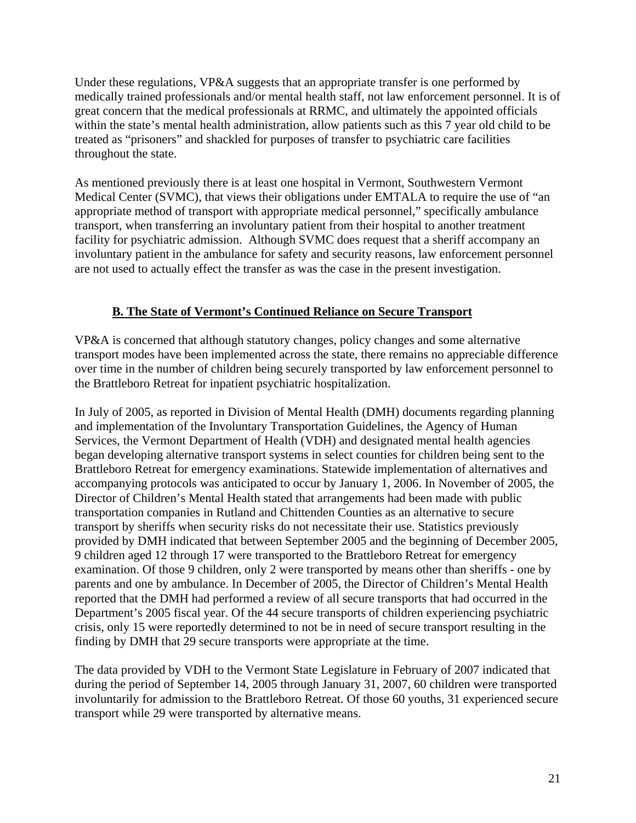Under these regulations, VP&A suggests that an appropriate transfer is one performed by medically trained professionals and/or mental health staff, not law enforcement personnel. It is of great concern that the medical professionals at RRMC, and ultimately the appointed officials within the state's mental health administration, allow patients such as this 7 year old child to be treated as "prisoners" and shackled for purposes of transfer to psychiatric care facilities throughout the state.

As mentioned previously there is at least one hospital in Vermont, Southwestern Vermont Medical Center (SVMC), that views their obligations under EMTALA to require the use of "an appropriate method of transport with appropriate medical personnel," specifically ambulance transport, when transferring an involuntary patient from their hospital to another treatment facility for psychiatric admission. Although SVMC does request that a sheriff accompany an involuntary patient in the ambulance for safety and security reasons, law enforcement personnel are not used to actually effect the transfer as was the case in the present investigation.

### **B. The State of Vermont's Continued Reliance on Secure Transport**

VP&A is concerned that although statutory changes, policy changes and some alternative transport modes have been implemented across the state, there remains no appreciable difference over time in the number of children being securely transported by law enforcement personnel to the Brattleboro Retreat for inpatient psychiatric hospitalization.

In July of 2005, as reported in Division of Mental Health (DMH) documents regarding planning and implementation of the Involuntary Transportation Guidelines, the Agency of Human Services, the Vermont Department of Health (VDH) and designated mental health agencies began developing alternative transport systems in select counties for children being sent to the Brattleboro Retreat for emergency examinations. Statewide implementation of alternatives and accompanying protocols was anticipated to occur by January 1, 2006. In November of 2005, the Director of Children's Mental Health stated that arrangements had been made with public transportation companies in Rutland and Chittenden Counties as an alternative to secure transport by sheriffs when security risks do not necessitate their use. Statistics previously provided by DMH indicated that between September 2005 and the beginning of December 2005, 9 children aged 12 through 17 were transported to the Brattleboro Retreat for emergency examination. Of those 9 children, only 2 were transported by means other than sheriffs - one by parents and one by ambulance. In December of 2005, the Director of Children's Mental Health reported that the DMH had performed a review of all secure transports that had occurred in the Department's 2005 fiscal year. Of the 44 secure transports of children experiencing psychiatric crisis, only 15 were reportedly determined to not be in need of secure transport resulting in the finding by DMH that 29 secure transports were appropriate at the time.

The data provided by VDH to the Vermont State Legislature in February of 2007 indicated that during the period of September 14, 2005 through January 31, 2007, 60 children were transported involuntarily for admission to the Brattleboro Retreat. Of those 60 youths, 31 experienced secure transport while 29 were transported by alternative means.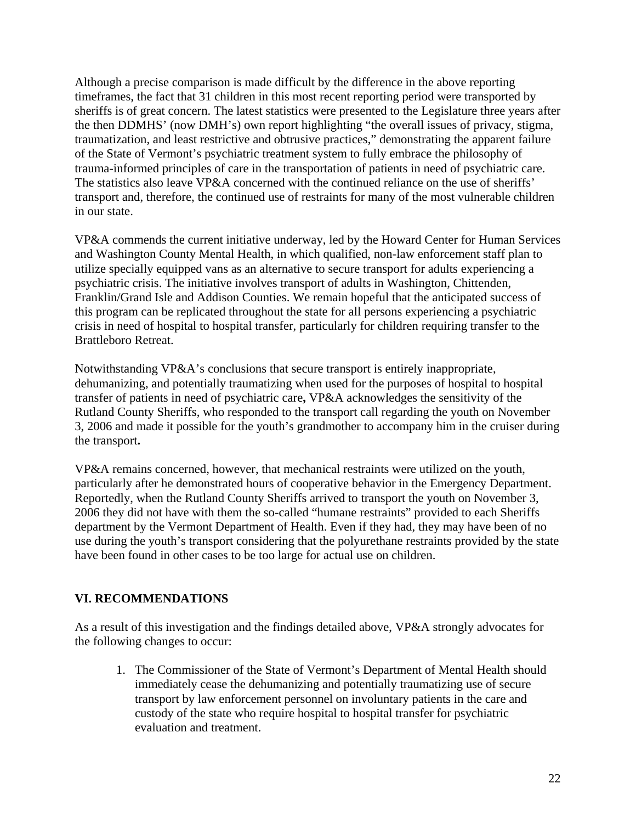Although a precise comparison is made difficult by the difference in the above reporting timeframes, the fact that 31 children in this most recent reporting period were transported by sheriffs is of great concern. The latest statistics were presented to the Legislature three years after the then DDMHS' (now DMH's) own report highlighting "the overall issues of privacy, stigma, traumatization, and least restrictive and obtrusive practices," demonstrating the apparent failure of the State of Vermont's psychiatric treatment system to fully embrace the philosophy of trauma-informed principles of care in the transportation of patients in need of psychiatric care. The statistics also leave VP&A concerned with the continued reliance on the use of sheriffs' transport and, therefore, the continued use of restraints for many of the most vulnerable children in our state.

VP&A commends the current initiative underway, led by the Howard Center for Human Services and Washington County Mental Health, in which qualified, non-law enforcement staff plan to utilize specially equipped vans as an alternative to secure transport for adults experiencing a psychiatric crisis. The initiative involves transport of adults in Washington, Chittenden, Franklin/Grand Isle and Addison Counties. We remain hopeful that the anticipated success of this program can be replicated throughout the state for all persons experiencing a psychiatric crisis in need of hospital to hospital transfer, particularly for children requiring transfer to the Brattleboro Retreat.

Notwithstanding VP&A's conclusions that secure transport is entirely inappropriate, dehumanizing, and potentially traumatizing when used for the purposes of hospital to hospital transfer of patients in need of psychiatric care**,** VP&A acknowledges the sensitivity of the Rutland County Sheriffs, who responded to the transport call regarding the youth on November 3, 2006 and made it possible for the youth's grandmother to accompany him in the cruiser during the transport**.** 

VP&A remains concerned, however, that mechanical restraints were utilized on the youth, particularly after he demonstrated hours of cooperative behavior in the Emergency Department. Reportedly, when the Rutland County Sheriffs arrived to transport the youth on November 3, 2006 they did not have with them the so-called "humane restraints" provided to each Sheriffs department by the Vermont Department of Health. Even if they had, they may have been of no use during the youth's transport considering that the polyurethane restraints provided by the state have been found in other cases to be too large for actual use on children.

# **VI. RECOMMENDATIONS**

As a result of this investigation and the findings detailed above, VP&A strongly advocates for the following changes to occur:

1. The Commissioner of the State of Vermont's Department of Mental Health should immediately cease the dehumanizing and potentially traumatizing use of secure transport by law enforcement personnel on involuntary patients in the care and custody of the state who require hospital to hospital transfer for psychiatric evaluation and treatment.